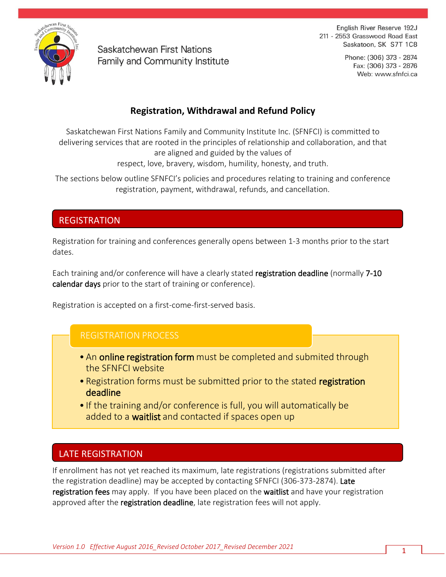

Saskatchewan First Nations Family and Community Institute

English River Reserve 192J 211 - 2553 Grasswood Road East Saskatoon, SK S7T 1C8

> Phone: (306) 373 - 2874 Fax: (306) 373 - 2876 Web: www.sfnfci.ca

# **Registration, Withdrawal and Refund Policy**

Saskatchewan First Nations Family and Community Institute Inc. (SFNFCI) is committed to delivering services that are rooted in the principles of relationship and collaboration, and that are aligned and guided by the values of

respect, love, bravery, wisdom, humility, honesty, and truth.

The sections below outline SFNFCI's policies and procedures relating to training and conference registration, payment, withdrawal, refunds, and cancellation.

### REGISTRATION

Registration for training and conferences generally opens between 1-3 months prior to the start dates.

Each training and/or conference will have a clearly stated registration deadline (normally 7-10 calendar days prior to the start of training or conference).

Registration is accepted on a first-come-first-served basis.

# REGISTRATION PROCESS

- An online registration form must be completed and submited through the SFNFCI website
- Registration forms must be submitted prior to the stated registration deadline
- If the training and/or conference is full, you will automatically be added to a **waitlist** and contacted if spaces open up

# LATE REGISTRATION

If enrollment has not yet reached its maximum, late registrations (registrations submitted after the registration deadline) may be accepted by contacting SFNFCI (306-373-2874). Late registration fees may apply. If you have been placed on the waitlist and have your registration approved after the registration deadline, late registration fees will not apply.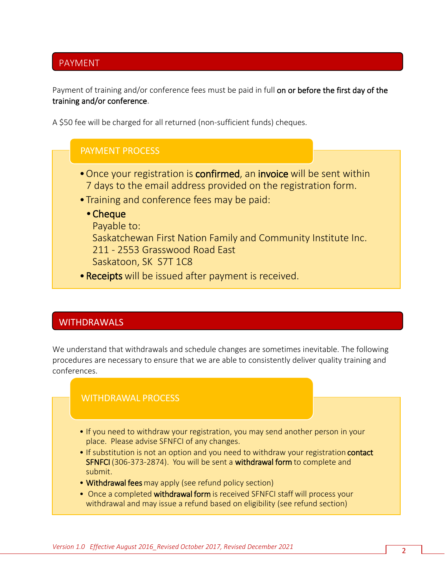## PAYMENT

Payment of training and/or conference fees must be paid in full on or before the first day of the training and/or conference.

A \$50 fee will be charged for all returned (non-sufficient funds) cheques.

#### PAYMENT PROCESS

- Once your registration is **confirmed**, an **invoice** will be sent within 7 days to the email address provided on the registration form.
- •Training and conference fees may be paid:
	- •Cheque

Payable to:

Saskatchewan First Nation Family and Community Institute Inc.

211 - 2553 Grasswood Road East

Saskatoon, SK S7T 1C8

•Receipts will be issued after payment is received.

### **WITHDRAWALS**

We understand that withdrawals and schedule changes are sometimes inevitable. The following procedures are necessary to ensure that we are able to consistently deliver quality training and conferences.

#### WITHDRAWAL PROCESS

- If you need to withdraw your registration, you may send another person in your place. Please advise SFNFCI of any changes.
- If substitution is not an option and you need to withdraw your registration contact SFNFCI (306-373-2874). You will be sent a withdrawal form to complete and submit.
- Withdrawal fees may apply (see refund policy section)
- Once a completed withdrawal form is received SFNFCI staff will process your withdrawal and may issue a refund based on eligibility (see refund section)